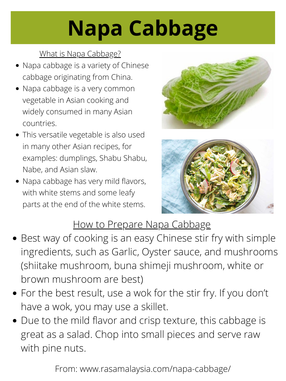## **Napa Cabbage**

From: www.rasamalaysia.com/napa-cabbage/

- Napa cabbage is a variety of Chinese cabbage originating from China.
- Napa cabbage is a very common vegetable in Asian cooking and widely consumed in many Asian countries.
- This versatile vegetable is also used in many other Asian recipes, for examples: [dumplings](https://rasamalaysia.com/pork-shrimp-napa-cabbage-dumplings/), [Shabu](https://rasamalaysia.com/shabu-shabu/) Shabu, [Nabe](https://rasamalaysia.com/nabe-yosenabe-japanese-hotpot/), and [Asian](https://rasamalaysia.com/asian-slaw/) slaw.
- Napa cabbage has very mild flavors, with white stems and some leafy





### How to Prepare Napa Cabbage

- Best way of cooking is an easy Chinese stir fry with simple ingredients, such as Garlic, Oyster sauce, and mushrooms (shiitake mushroom, buna shimeji mushroom, white or brown mushroom are best)
- For the best result, use a wok for the stir fry. If you don't have a wok, you may use a skillet.
- Due to the mild flavor and crisp texture, this cabbage is great as a salad. Chop into small pieces and serve raw with pine nuts.

#### What is Napa Cabbage?